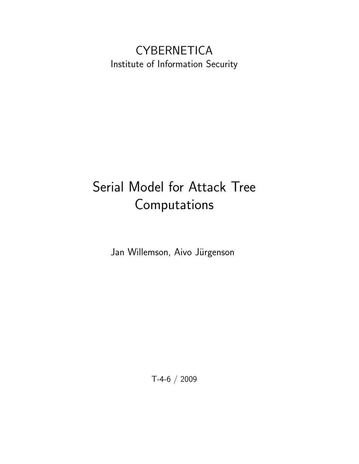# **CYBERNETICA** Institute of Information Security

# Serial Model for Attack Tree Computations

Jan Willemson, Aivo Jürgenson

T-4-6 / 2009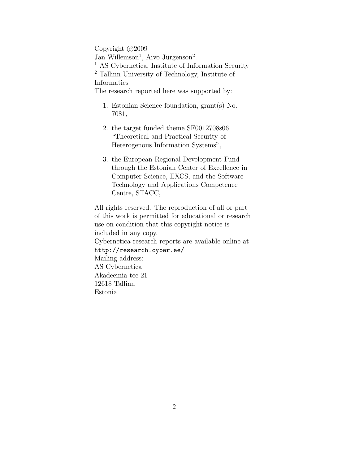Copyright (c)2009 Jan Willemson<sup>1</sup>, Aivo Jürgenson<sup>2</sup>. <sup>1</sup> AS Cybernetica, Institute of Information Security <sup>2</sup> Tallinn University of Technology, Institute of Informatics The research reported here was supported by:

- 1. Estonian Science foundation, grant(s) No. 7081,
- 2. the target funded theme SF0012708s06 "Theoretical and Practical Security of Heterogenous Information Systems",
- 3. the European Regional Development Fund through the Estonian Center of Excellence in Computer Science, EXCS, and the Software Technology and Applications Competence Centre, STACC,

All rights reserved. The reproduction of all or part of this work is permitted for educational or research use on condition that this copyright notice is included in any copy. Cybernetica research reports are available online at http://research.cyber.ee/ Mailing address: AS Cybernetica Akadeemia tee 21 12618 Tallinn Estonia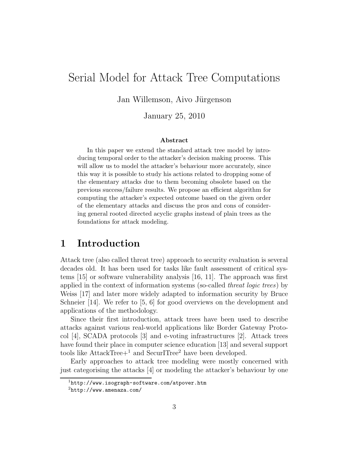## Serial Model for Attack Tree Computations

Jan Willemson, Aivo Jürgenson

January 25, 2010

#### Abstract

In this paper we extend the standard attack tree model by introducing temporal order to the attacker's decision making process. This will allow us to model the attacker's behaviour more accurately, since this way it is possible to study his actions related to dropping some of the elementary attacks due to them becoming obsolete based on the previous success/failure results. We propose an efficient algorithm for computing the attacker's expected outcome based on the given order of the elementary attacks and discuss the pros and cons of considering general rooted directed acyclic graphs instead of plain trees as the foundations for attack modeling.

#### 1 Introduction

Attack tree (also called threat tree) approach to security evaluation is several decades old. It has been used for tasks like fault assessment of critical systems [15] or software vulnerability analysis [16, 11]. The approach was first applied in the context of information systems (so-called *threat logic trees*) by Weiss [17] and later more widely adapted to information security by Bruce Schneier [14]. We refer to [5, 6] for good overviews on the development and applications of the methodology.

Since their first introduction, attack trees have been used to describe attacks against various real-world applications like Border Gateway Protocol [4], SCADA protocols [3] and e-voting infrastructures [2]. Attack trees have found their place in computer science education [13] and several support tools like  $AttackTree + 1$  and  $SecurlTree^2$  have been developed.

Early approaches to attack tree modeling were mostly concerned with just categorising the attacks [4] or modeling the attacker's behaviour by one

<sup>1</sup>http://www.isograph-software.com/atpover.htm

 $^{2}$ http://www.amenaza.com/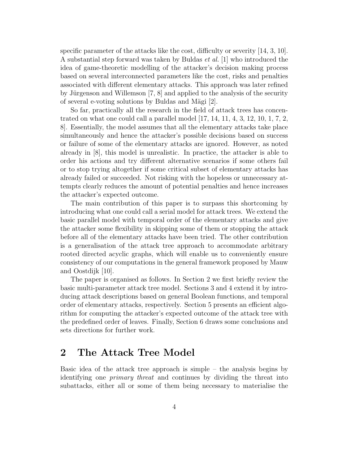specific parameter of the attacks like the cost, difficulty or severity [14, 3, 10]. A substantial step forward was taken by Buldas *et al.* [1] who introduced the idea of game-theoretic modelling of the attacker's decision making process based on several interconnected parameters like the cost, risks and penalties associated with different elementary attacks. This approach was later refined by Jürgenson and Willemson  $[7, 8]$  and applied to the analysis of the security of several e-voting solutions by Buldas and Mägi [2].

So far, practically all the research in the field of attack trees has concentrated on what one could call a parallel model  $[17, 14, 11, 4, 3, 12, 10, 1, 7, 2, 1]$ 8]. Essentially, the model assumes that all the elementary attacks take place simultaneously and hence the attacker's possible decisions based on success or failure of some of the elementary attacks are ignored. However, as noted already in [8], this model is unrealistic. In practice, the attacker is able to order his actions and try different alternative scenarios if some others fail or to stop trying altogether if some critical subset of elementary attacks has already failed or succeeded. Not risking with the hopeless or unnecessary attempts clearly reduces the amount of potential penalties and hence increases the attacker's expected outcome.

The main contribution of this paper is to surpass this shortcoming by introducing what one could call a serial model for attack trees. We extend the basic parallel model with temporal order of the elementary attacks and give the attacker some flexibility in skipping some of them or stopping the attack before all of the elementary attacks have been tried. The other contribution is a generalisation of the attack tree approach to accommodate arbitrary rooted directed acyclic graphs, which will enable us to conveniently ensure consistency of our computations in the general framework proposed by Mauw and Oostdijk [10].

The paper is organised as follows. In Section 2 we first briefly review the basic multi-parameter attack tree model. Sections 3 and 4 extend it by introducing attack descriptions based on general Boolean functions, and temporal order of elementary attacks, respectively. Section 5 presents an efficient algorithm for computing the attacker's expected outcome of the attack tree with the predefined order of leaves. Finally, Section 6 draws some conclusions and sets directions for further work.

## 2 The Attack Tree Model

Basic idea of the attack tree approach is simple  $-$  the analysis begins by identifying one *primary threat* and continues by dividing the threat into subattacks, either all or some of them being necessary to materialise the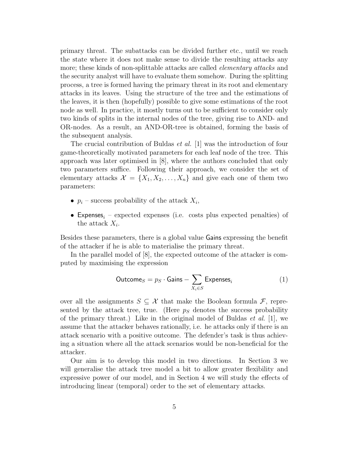primary threat. The subattacks can be divided further etc., until we reach the state where it does not make sense to divide the resulting attacks any more; these kinds of non-splittable attacks are called *elementary attacks* and the security analyst will have to evaluate them somehow. During the splitting process, a tree is formed having the primary threat in its root and elementary attacks in its leaves. Using the structure of the tree and the estimations of the leaves, it is then (hopefully) possible to give some estimations of the root node as well. In practice, it mostly turns out to be sufficient to consider only two kinds of splits in the internal nodes of the tree, giving rise to AND- and OR-nodes. As a result, an AND-OR-tree is obtained, forming the basis of the subsequent analysis.

The crucial contribution of Buldas *et al.* [1] was the introduction of four game-theoretically motivated parameters for each leaf node of the tree. This approach was later optimised in [8], where the authors concluded that only two parameters suffice. Following their approach, we consider the set of elementary attacks  $\mathcal{X} = \{X_1, X_2, \ldots, X_n\}$  and give each one of them two parameters:

- $p_i$  success probability of the attack  $X_i$ ,
- Expenses<sub>i</sub> expected expenses (i.e. costs plus expected penalties) of the attack  $X_i$ .

Besides these parameters, there is a global value Gains expressing the benefit of the attacker if he is able to materialise the primary threat.

In the parallel model of [8], the expected outcome of the attacker is computed by maximising the expression

$$
\text{Outcome}_S = p_S \cdot \text{Gains} - \sum_{X_i \in S} \text{Expenses}_i \tag{1}
$$

over all the assignments  $S \subseteq \mathcal{X}$  that make the Boolean formula  $\mathcal{F}$ , represented by the attack tree, true. (Here  $p<sub>S</sub>$  denotes the success probability of the primary threat.) Like in the original model of Buldas *et al.* [1], we assume that the attacker behaves rationally, i.e. he attacks only if there is an attack scenario with a positive outcome. The defender's task is thus achieving a situation where all the attack scenarios would be non-beneficial for the attacker.

Our aim is to develop this model in two directions. In Section 3 we will generalise the attack tree model a bit to allow greater flexibility and expressive power of our model, and in Section 4 we will study the effects of introducing linear (temporal) order to the set of elementary attacks.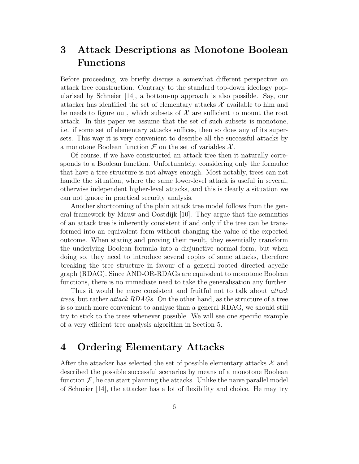3 Attack Descriptions as Monotone Boolean Functions

Before proceeding, we briefly discuss a somewhat different perspective on attack tree construction. Contrary to the standard top-down ideology popularised by Schneier [14], a bottom-up approach is also possible. Say, our attacker has identified the set of elementary attacks  $\mathcal X$  available to him and he needs to figure out, which subsets of  $\mathcal X$  are sufficient to mount the root attack. In this paper we assume that the set of such subsets is monotone, i.e. if some set of elementary attacks suffices, then so does any of its supersets. This way it is very convenient to describe all the successful attacks by a monotone Boolean function  $\mathcal F$  on the set of variables  $\mathcal X$ .

Of course, if we have constructed an attack tree then it naturally corresponds to a Boolean function. Unfortunately, considering only the formulae that have a tree structure is not always enough. Most notably, trees can not handle the situation, where the same lower-level attack is useful in several, otherwise independent higher-level attacks, and this is clearly a situation we can not ignore in practical security analysis.

Another shortcoming of the plain attack tree model follows from the general framework by Mauw and Oostdijk [10]. They argue that the semantics of an attack tree is inherently consistent if and only if the tree can be transformed into an equivalent form without changing the value of the expected outcome. When stating and proving their result, they essentially transform the underlying Boolean formula into a disjunctive normal form, but when doing so, they need to introduce several copies of some attacks, therefore breaking the tree structure in favour of a general rooted directed acyclic graph (RDAG). Since AND-OR-RDAGs are equivalent to monotone Boolean functions, there is no immediate need to take the generalisation any further.

Thus it would be more consistent and fruitful not to talk about *attack trees*, but rather *attack RDAGs*. On the other hand, as the structure of a tree is so much more convenient to analyse than a general RDAG, we should still try to stick to the trees whenever possible. We will see one specific example of a very efficient tree analysis algorithm in Section 5.

#### 4 Ordering Elementary Attacks

After the attacker has selected the set of possible elementary attacks  $\mathcal{X}$  and described the possible successful scenarios by means of a monotone Boolean function  $\mathcal F$ , he can start planning the attacks. Unlike the naïve parallel model of Schneier [14], the attacker has a lot of flexibility and choice. He may try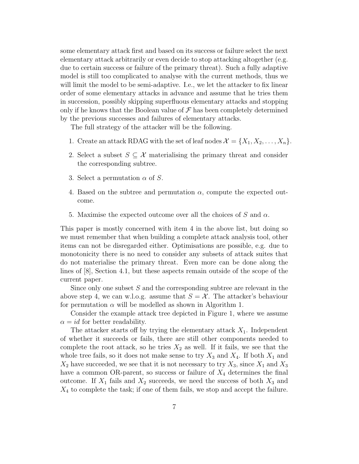some elementary attack first and based on its success or failure select the next elementary attack arbitrarily or even decide to stop attacking altogether (e.g. due to certain success or failure of the primary threat). Such a fully adaptive model is still too complicated to analyse with the current methods, thus we will limit the model to be semi-adaptive. I.e., we let the attacker to fix linear order of some elementary attacks in advance and assume that he tries them in succession, possibly skipping superfluous elementary attacks and stopping only if he knows that the Boolean value of  $\mathcal F$  has been completely determined by the previous successes and failures of elementary attacks.

The full strategy of the attacker will be the following.

- 1. Create an attack RDAG with the set of leaf nodes  $\mathcal{X} = \{X_1, X_2, \ldots, X_n\}.$
- 2. Select a subset  $S \subseteq \mathcal{X}$  materialising the primary threat and consider the corresponding subtree.
- 3. Select a permutation  $\alpha$  of S.
- 4. Based on the subtree and permutation  $\alpha$ , compute the expected outcome.
- 5. Maximise the expected outcome over all the choices of S and  $\alpha$ .

This paper is mostly concerned with item 4 in the above list, but doing so we must remember that when building a complete attack analysis tool, other items can not be disregarded either. Optimisations are possible, e.g. due to monotonicity there is no need to consider any subsets of attack suites that do not materialise the primary threat. Even more can be done along the lines of [8], Section 4.1, but these aspects remain outside of the scope of the current paper.

Since only one subset  $S$  and the corresponding subtree are relevant in the above step 4, we can w.l.o.g. assume that  $S = \mathcal{X}$ . The attacker's behaviour for permutation  $\alpha$  will be modelled as shown in Algorithm 1.

Consider the example attack tree depicted in Figure 1, where we assume  $\alpha = id$  for better readability.

The attacker starts off by trying the elementary attack  $X_1$ . Independent of whether it succeeds or fails, there are still other components needed to complete the root attack, so he tries  $X_2$  as well. If it fails, we see that the whole tree fails, so it does not make sense to try  $X_3$  and  $X_4$ . If both  $X_1$  and  $X_2$  have succeeded, we see that it is not necessary to try  $X_3$ , since  $X_1$  and  $X_3$ have a common OR-parent, so success or failure of  $X_4$  determines the final outcome. If  $X_1$  fails and  $X_2$  succeeds, we need the success of both  $X_3$  and  $X_4$  to complete the task; if one of them fails, we stop and accept the failure.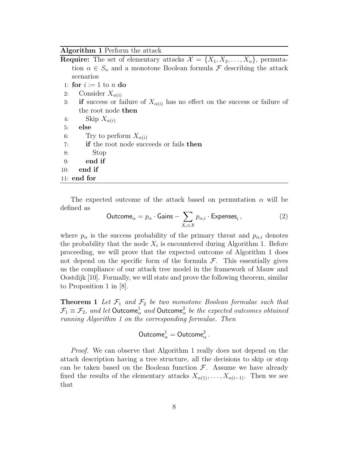#### Algorithm 1 Perform the attack

**Require:** The set of elementary attacks  $\mathcal{X} = \{X_1, X_2, \ldots, X_n\}$ , permutation  $\alpha \in S_n$  and a monotone Boolean formula F describing the attack scenarios 1: for  $i := 1$  to n do 2: Consider  $X_{\alpha(i)}$ 3: if success or failure of  $X_{\alpha(i)}$  has no effect on the success or failure of the root node then 4: Skip  $X_{\alpha(i)}$ 5: else 6: Try to perform  $X_{\alpha(i)}$ 7: if the root node succeeds or fails then 8: Stop 9: end if 10: end if 11: end for

The expected outcome of the attack based on permutation  $\alpha$  will be defined as

$$
\text{Outcome}_{\alpha} = p_{\alpha} \cdot \text{Gains} - \sum_{X_i \in \mathcal{X}} p_{\alpha,i} \cdot \text{Expenses}_i ,\tag{2}
$$

where  $p_{\alpha}$  is the success probability of the primary threat and  $p_{\alpha,i}$  denotes the probability that the node  $X_i$  is encountered during Algorithm 1. Before proceeding, we will prove that the expected outcome of Algorithm 1 does not depend on the specific form of the formula  $\mathcal{F}$ . This essentially gives us the compliance of our attack tree model in the framework of Mauw and Oostdijk [10]. Formally, we will state and prove the following theorem, similar to Proposition 1 in [8].

**Theorem 1** Let  $\mathcal{F}_1$  and  $\mathcal{F}_2$  be two monotone Boolean formulae such that  $\mathcal{F}_1 \equiv \mathcal{F}_2$ , and let  $\mathsf{Outcome}^1_\alpha$  and  $\mathsf{Outcome}^2_\alpha$  be the expected outcomes obtained *running Algorithm 1 on the corresponding formulae. Then*

 $\mathsf{Outcome}^1_\alpha = \mathsf{Outcome}^2_\alpha$  .

*Proof.* We can observe that Algorithm 1 really does not depend on the attack description having a tree structure, all the decisions to skip or stop can be taken based on the Boolean function  $\mathcal{F}$ . Assume we have already fixed the results of the elementary attacks  $X_{\alpha(1)}, \ldots, X_{\alpha(i-1)}$ . Then we see that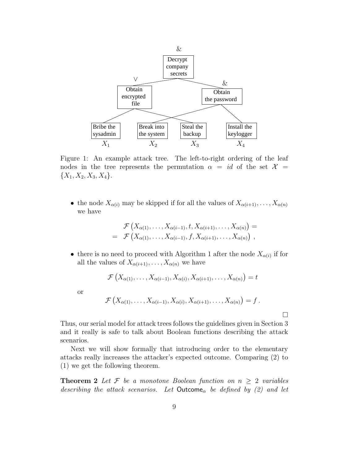

Figure 1: An example attack tree. The left-to-right ordering of the leaf nodes in the tree represents the permutation  $\alpha = id$  of the set  $\mathcal{X} =$  ${X_1, X_2, X_3, X_4}.$ 

• the node  $X_{\alpha(i)}$  may be skipped if for all the values of  $X_{\alpha(i+1)}, \ldots, X_{\alpha(n)}$ we have

$$
\mathcal{F}\left(X_{\alpha(1)},\ldots,X_{\alpha(i-1)},t,X_{\alpha(i+1)},\ldots,X_{\alpha(n)}\right)=
$$
\n
$$
=\mathcal{F}\left(X_{\alpha(1)},\ldots,X_{\alpha(i-1)},f,X_{\alpha(i+1)},\ldots,X_{\alpha(n)}\right),
$$

• there is no need to proceed with Algorithm 1 after the node  $X_{\alpha(i)}$  if for all the values of  $X_{\alpha(i+1)}, \ldots, X_{\alpha(n)}$  we have

$$
\mathcal{F}\left(X_{\alpha(1)},\ldots,X_{\alpha(i-1)},X_{\alpha(i)},X_{\alpha(i+1)},\ldots,X_{\alpha(n)}\right)=t
$$

or

$$
\mathcal{F}\left(X_{\alpha(1)},\ldots,X_{\alpha(i-1)},X_{\alpha(i)},X_{\alpha(i+1)},\ldots,X_{\alpha(n)}\right)=f.
$$

 $\Box$ 

Thus, our serial model for attack trees follows the guidelines given in Section 3 and it really is safe to talk about Boolean functions describing the attack scenarios.

Next we will show formally that introducing order to the elementary attacks really increases the attacker's expected outcome. Comparing (2) to (1) we get the following theorem.

**Theorem 2** Let F be a monotone Boolean function on  $n \geq 2$  variables *describing the attack scenarios. Let*  $\text{Outcome}_{\alpha}$  *be defined by (2) and let*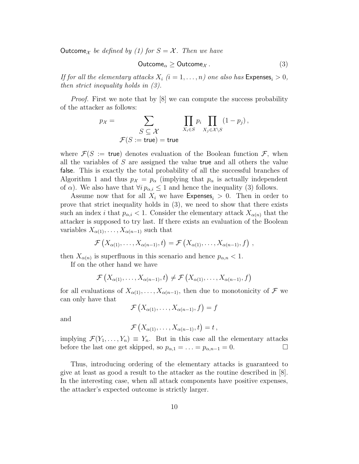Outcome<sub>X</sub> be defined by (1) for  $S = X$ . Then we have

$$
Outcome_{\alpha} \geq Outcome_{\mathcal{X}}.
$$
 (3)

*If for all the elementary attacks*  $X_i$   $(i = 1, \ldots, n)$  one also has  $\text{Expenses}_i > 0$ , *then strict inequality holds in (3).*

*Proof.* First we note that by [8] we can compute the success probability of the attacker as follows:

$$
p_{\mathcal{X}} = \sum_{\substack{S \subseteq \mathcal{X} \\ \mathcal{F}(S := \text{true}) = \text{true}}} \prod_{X_i \in S} p_i \prod_{X_j \in \mathcal{X} \setminus S} (1 - p_j),
$$

where  $\mathcal{F}(S := \text{true})$  denotes evaluation of the Boolean function  $\mathcal{F}$ , when all the variables of S are assigned the value true and all others the value false. This is exactly the total probability of all the successful branches of Algorithm 1 and thus  $p_{\chi} = p_{\alpha}$  (implying that  $p_{\alpha}$  is actually independent of  $\alpha$ ). We also have that  $\forall i \, p_{\alpha,i} \leq 1$  and hence the inequality (3) follows.

Assume now that for all  $X_i$  we have Expenses<sub>i</sub>  $> 0$ . Then in order to prove that strict inequality holds in (3), we need to show that there exists such an index i that  $p_{\alpha,i} < 1$ . Consider the elementary attack  $X_{\alpha(n)}$  that the attacker is supposed to try last. If there exists an evaluation of the Boolean variables  $X_{\alpha(1)}, \ldots, X_{\alpha(n-1)}$  such that

$$
\mathcal{F}\left(X_{\alpha(1)},\ldots,X_{\alpha(n-1)},t\right)=\mathcal{F}\left(X_{\alpha(1)},\ldots,X_{\alpha(n-1)},f\right),
$$

then  $X_{\alpha(n)}$  is superfluous in this scenario and hence  $p_{\alpha,n} < 1$ .

If on the other hand we have

$$
\mathcal{F}\left(X_{\alpha(1)},\ldots,X_{\alpha(n-1)},t\right)\neq\mathcal{F}\left(X_{\alpha(1)},\ldots,X_{\alpha(n-1)},f\right)
$$

for all evaluations of  $X_{\alpha(1)}, \ldots, X_{\alpha(n-1)}$ , then due to monotonicity of  $\mathcal F$  we can only have that

$$
\mathcal{F}\left(X_{\alpha(1)},\ldots,X_{\alpha(n-1)},f\right)=f
$$

and

$$
\mathcal{F}\left(X_{\alpha(1)},\ldots,X_{\alpha(n-1)},t\right)=t\,,
$$

implying  $\mathcal{F}(Y_1,\ldots,Y_n) \equiv Y_n$ . But in this case all the elementary attacks before the last one get skipped, so  $p_{\alpha,1} = \ldots = p_{\alpha,n-1} = 0.$ 

Thus, introducing ordering of the elementary attacks is guaranteed to give at least as good a result to the attacker as the routine described in [8]. In the interesting case, when all attack components have positive expenses, the attacker's expected outcome is strictly larger.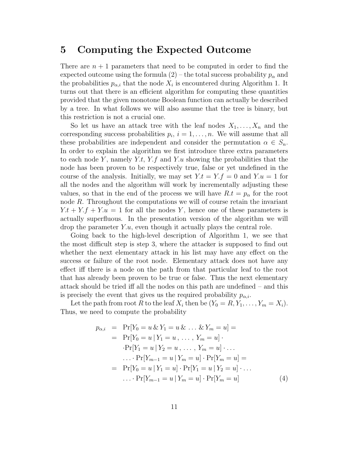#### 5 Computing the Expected Outcome

There are  $n + 1$  parameters that need to be computed in order to find the expected outcome using the formula  $(2)$  – the total success probability  $p_{\alpha}$  and the probabilities  $p_{\alpha,i}$  that the node  $X_i$  is encountered during Algorithm 1. It turns out that there is an efficient algorithm for computing these quantities provided that the given monotone Boolean function can actually be described by a tree. In what follows we will also assume that the tree is binary, but this restriction is not a crucial one.

So let us have an attack tree with the leaf nodes  $X_1, \ldots, X_n$  and the corresponding success probabilities  $p_i$ ,  $i = 1, \ldots, n$ . We will assume that all these probabilities are independent and consider the permutation  $\alpha \in S_n$ . In order to explain the algorithm we first introduce three extra parameters to each node Y, namely Y.t, Y.f and Y.u showing the probabilities that the node has been proven to be respectively true, false or yet undefined in the course of the analysis. Initially, we may set  $Y_t = Y_t f = 0$  and  $Y_t u = 1$  for all the nodes and the algorithm will work by incrementally adjusting these values, so that in the end of the process we will have  $R \cdot t = p_{\alpha}$  for the root node R. Throughout the computations we will of course retain the invariant  $Y.t + Y.f + Y.u = 1$  for all the nodes Y, hence one of these parameters is actually superfluous. In the presentation version of the algorithm we will drop the parameter  $Y.u$ , even though it actually plays the central role.

Going back to the high-level description of Algorithm 1, we see that the most difficult step is step 3, where the attacker is supposed to find out whether the next elementary attack in his list may have any effect on the success or failure of the root node. Elementary attack does not have any effect iff there is a node on the path from that particular leaf to the root that has already been proven to be true or false. Thus the next elementary attack should be tried iff all the nodes on this path are undefined – and this is precisely the event that gives us the required probability  $p_{\alpha,i}$ .

Let the path from root R to the leaf  $X_i$  then be  $(Y_0 = R, Y_1, \ldots, Y_m = X_i)$ . Thus, we need to compute the probability

$$
p_{\alpha,i} = \Pr[Y_0 = u \& Y_1 = u \& \dots \& Y_m = u] =
$$
  
\n
$$
= \Pr[Y_0 = u | Y_1 = u, \dots, Y_m = u] \cdot
$$
  
\n
$$
\cdot \Pr[Y_1 = u | Y_2 = u, \dots, Y_m = u] \cdot \dots
$$
  
\n
$$
\dots \cdot \Pr[Y_{m-1} = u | Y_m = u] \cdot \Pr[Y_m = u] =
$$
  
\n
$$
= \Pr[Y_0 = u | Y_1 = u] \cdot \Pr[Y_1 = u | Y_2 = u] \cdot \dots
$$
  
\n
$$
\dots \cdot \Pr[Y_{m-1} = u | Y_m = u] \cdot \Pr[Y_m = u]
$$
 (4)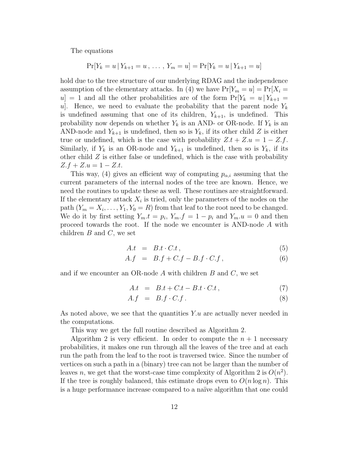The equations

$$
Pr[Y_k = u | Y_{k+1} = u, ..., Y_m = u] = Pr[Y_k = u | Y_{k+1} = u]
$$

hold due to the tree structure of our underlying RDAG and the independence assumption of the elementary attacks. In (4) we have  $Pr[Y_m = u] = Pr[X_i = u]$  $u$  = 1 and all the other probabilities are of the form  $Pr[Y_k = u | Y_{k+1} =$ u. Hence, we need to evaluate the probability that the parent node  $Y_k$ is undefined assuming that one of its children,  $Y_{k+1}$ , is undefined. This probability now depends on whether  $Y_k$  is an AND- or OR-node. If  $Y_k$  is an AND-node and  $Y_{k+1}$  is undefined, then so is  $Y_k$ , if its other child Z is either true or undefined, which is the case with probability  $Z.t + Z.u = 1 - Z.f$ . Similarly, if  $Y_k$  is an OR-node and  $Y_{k+1}$  is undefined, then so is  $Y_k$ , if its other child  $Z$  is either false or undefined, which is the case with probability  $Z.f + Z.u = 1 - Z.t.$ 

This way, (4) gives an efficient way of computing  $p_{\alpha,i}$  assuming that the current parameters of the internal nodes of the tree are known. Hence, we need the routines to update these as well. These routines are straightforward. If the elementary attack  $X_i$  is tried, only the parameters of the nodes on the path  $(Y_m = X_i, \ldots, Y_1, Y_0 = R)$  from that leaf to the root need to be changed. We do it by first setting  $Y_m.t = p_i$ ,  $Y_m.f = 1 - p_i$  and  $Y_m.u = 0$  and then proceed towards the root. If the node we encounter is AND-node A with children  $B$  and  $C$ , we set

$$
A.t = B.t \cdot C.t, \qquad (5)
$$

$$
A.f = B.f + C.f - B.f \cdot C.f , \qquad (6)
$$

and if we encounter an OR-node  $A$  with children  $B$  and  $C$ , we set

$$
A.t = B.t + C.t - B.t \cdot C.t, \qquad (7)
$$

$$
A.f = B.f \cdot C.f. \tag{8}
$$

As noted above, we see that the quantities  $Y_{\cdot}u$  are actually never needed in the computations.

This way we get the full routine described as Algorithm 2.

Algorithm 2 is very efficient. In order to compute the  $n + 1$  necessary probabilities, it makes one run through all the leaves of the tree and at each run the path from the leaf to the root is traversed twice. Since the number of vertices on such a path in a (binary) tree can not be larger than the number of leaves n, we get that the worst-case time complexity of Algorithm 2 is  $O(n^2)$ . If the tree is roughly balanced, this estimate drops even to  $O(n \log n)$ . This is a huge performance increase compared to a naïve algorithm that one could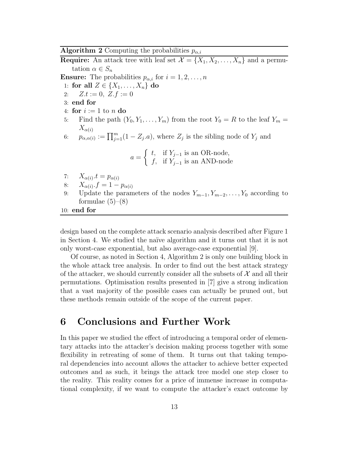**Algorithm 2** Computing the probabilities  $p_{\alpha,i}$ 

**Require:** An attack tree with leaf set  $\mathcal{X} = \{X_1, X_2, \ldots, X_n\}$  and a permutation  $\alpha \in S_n$ **Ensure:** The probabilities  $p_{\alpha,i}$  for  $i = 1, 2, \ldots, n$ 1: for all  $Z \in \{X_1, \ldots, X_n\}$  do 2:  $Z.t := 0, Z.f := 0$ 3: end for 4: for  $i := 1$  to n do 5: Find the path  $(Y_0, Y_1, \ldots, Y_m)$  from the root  $Y_0 = R$  to the leaf  $Y_m =$  $X_{\alpha(i)}$ 6:  $p_{\alpha,\alpha(i)} := \prod_{j=1}^m (1 - Z_j.a)$ , where  $Z_j$  is the sibling node of  $Y_j$  and  $a = \begin{cases} t, & \text{if } Y_{j-1} \text{ is an OR-node,} \\ t, & \text{if } V \text{ is an AND node.} \end{cases}$ f, if  $Y_{j-1}$  is an AND-node 7:  $X_{\alpha(i)} \cdot t = p_{\alpha(i)}$ 8:  $X_{\alpha(i)} \cdot f = 1 - p_{\alpha(i)}$ 9: Update the parameters of the nodes  $Y_{m-1}, Y_{m-2}, \ldots, Y_0$  according to formulae  $(5)-(8)$ 10: end for

design based on the complete attack scenario analysis described after Figure 1 in Section 4. We studied the naïve algorithm and it turns out that it is not only worst-case exponential, but also average-case exponential [9].

Of course, as noted in Section 4, Algorithm 2 is only one building block in the whole attack tree analysis. In order to find out the best attack strategy of the attacker, we should currently consider all the subsets of  $\mathcal X$  and all their permutations. Optimisation results presented in [7] give a strong indication that a vast majority of the possible cases can actually be pruned out, but these methods remain outside of the scope of the current paper.

## 6 Conclusions and Further Work

In this paper we studied the effect of introducing a temporal order of elementary attacks into the attacker's decision making process together with some flexibility in retreating of some of them. It turns out that taking temporal dependencies into account allows the attacker to achieve better expected outcomes and as such, it brings the attack tree model one step closer to the reality. This reality comes for a price of immense increase in computational complexity, if we want to compute the attacker's exact outcome by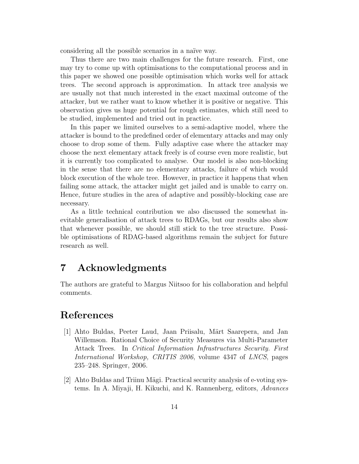considering all the possible scenarios in a naïve way.

Thus there are two main challenges for the future research. First, one may try to come up with optimisations to the computational process and in this paper we showed one possible optimisation which works well for attack trees. The second approach is approximation. In attack tree analysis we are usually not that much interested in the exact maximal outcome of the attacker, but we rather want to know whether it is positive or negative. This observation gives us huge potential for rough estimates, which still need to be studied, implemented and tried out in practice.

In this paper we limited ourselves to a semi-adaptive model, where the attacker is bound to the predefined order of elementary attacks and may only choose to drop some of them. Fully adaptive case where the attacker may choose the next elementary attack freely is of course even more realistic, but it is currently too complicated to analyse. Our model is also non-blocking in the sense that there are no elementary attacks, failure of which would block execution of the whole tree. However, in practice it happens that when failing some attack, the attacker might get jailed and is unable to carry on. Hence, future studies in the area of adaptive and possibly-blocking case are necessary.

As a little technical contribution we also discussed the somewhat inevitable generalisation of attack trees to RDAGs, but our results also show that whenever possible, we should still stick to the tree structure. Possible optimisations of RDAG-based algorithms remain the subject for future research as well.

## 7 Acknowledgments

The authors are grateful to Margus Niitsoo for his collaboration and helpful comments.

#### References

- [1] Ahto Buldas, Peeter Laud, Jaan Priisalu, Märt Saarepera, and Jan Willemson. Rational Choice of Security Measures via Multi-Parameter Attack Trees. In *Critical Information Infrastructures Security. First International Workshop, CRITIS 2006*, volume 4347 of *LNCS*, pages 235–248. Springer, 2006.
- $[2]$  Ahto Buldas and Triinu Mägi. Practical security analysis of e-voting systems. In A. Miyaji, H. Kikuchi, and K. Rannenberg, editors, *Advances*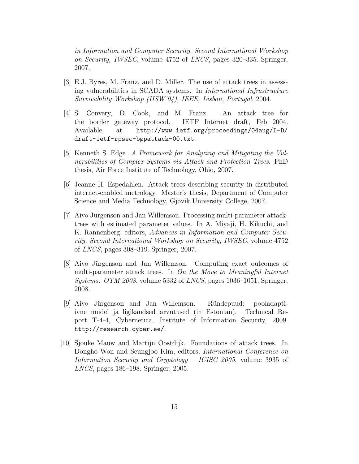*in Information and Computer Security, Second International Workshop on Security, IWSEC*, volume 4752 of *LNCS*, pages 320–335. Springer, 2007.

- [3] E.J. Byres, M. Franz, and D. Miller. The use of attack trees in assessing vulnerabilities in SCADA systems. In *International Infrastructure Survivability Workshop (IISW'04), IEEE, Lisbon, Portugal*, 2004.
- [4] S. Convery, D. Cook, and M. Franz. An attack tree for the border gateway protocol. IETF Internet draft, Feb 2004. Available at http://www.ietf.org/proceedings/04aug/I-D/ draft-ietf-rpsec-bgpattack-00.txt.
- [5] Kenneth S. Edge. *A Framework for Analyzing and Mitigating the Vulnerabilities of Complex Systems via Attack and Protection Trees*. PhD thesis, Air Force Institute of Technology, Ohio, 2007.
- [6] Jeanne H. Espedahlen. Attack trees describing security in distributed internet-enabled metrology. Master's thesis, Department of Computer Science and Media Technology, Gjøvik University College, 2007.
- [7] Aivo Jürgenson and Jan Willemson. Processing multi-parameter attacktrees with estimated parameter values. In A. Miyaji, H. Kikuchi, and K. Rannenberg, editors, *Advances in Information and Computer Security, Second International Workshop on Security, IWSEC*, volume 4752 of *LNCS*, pages 308–319. Springer, 2007.
- [8] Aivo Jürgenson and Jan Willemson. Computing exact outcomes of multi-parameter attack trees. In *On the Move to Meaningful Internet Systems: OTM 2008*, volume 5332 of *LNCS*, pages 1036–1051. Springer, 2008.
- [9] Aivo Jürgenson and Jan Willemson. Ründepuud: pooladaptiivne mudel ja ligikaudsed arvutused (in Estonian). Technical Report T-4-4, Cybernetica, Institute of Information Security, 2009. http://research.cyber.ee/.
- [10] Sjouke Mauw and Martijn Oostdijk. Foundations of attack trees. In Dongho Won and Seungjoo Kim, editors, *International Conference on Information Security and Cryptology – ICISC 2005*, volume 3935 of *LNCS*, pages 186–198. Springer, 2005.